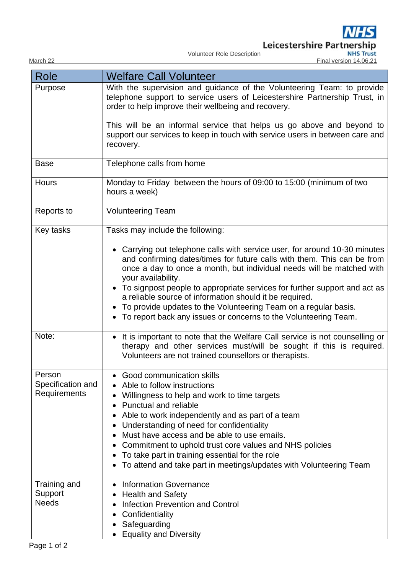Leicestershire Partnership<br>
MHS Trust<br>
Final version 14.06.21

Volunteer Role Description

|  | March |  |
|--|-------|--|

| Role                                        | <b>Welfare Call Volunteer</b>                                                                                                                                                                                                                                                                                                                                                                                                                                                                        |  |  |
|---------------------------------------------|------------------------------------------------------------------------------------------------------------------------------------------------------------------------------------------------------------------------------------------------------------------------------------------------------------------------------------------------------------------------------------------------------------------------------------------------------------------------------------------------------|--|--|
| Purpose                                     | With the supervision and guidance of the Volunteering Team: to provide<br>telephone support to service users of Leicestershire Partnership Trust, in<br>order to help improve their wellbeing and recovery.                                                                                                                                                                                                                                                                                          |  |  |
|                                             | This will be an informal service that helps us go above and beyond to<br>support our services to keep in touch with service users in between care and<br>recovery.                                                                                                                                                                                                                                                                                                                                   |  |  |
| <b>Base</b>                                 | Telephone calls from home                                                                                                                                                                                                                                                                                                                                                                                                                                                                            |  |  |
| <b>Hours</b>                                | Monday to Friday between the hours of 09:00 to 15:00 (minimum of two<br>hours a week)                                                                                                                                                                                                                                                                                                                                                                                                                |  |  |
| Reports to                                  | <b>Volunteering Team</b>                                                                                                                                                                                                                                                                                                                                                                                                                                                                             |  |  |
| Key tasks                                   | Tasks may include the following:                                                                                                                                                                                                                                                                                                                                                                                                                                                                     |  |  |
|                                             | • Carrying out telephone calls with service user, for around 10-30 minutes<br>and confirming dates/times for future calls with them. This can be from<br>once a day to once a month, but individual needs will be matched with<br>your availability.<br>• To signpost people to appropriate services for further support and act as<br>a reliable source of information should it be required.                                                                                                       |  |  |
|                                             | To provide updates to the Volunteering Team on a regular basis.<br>To report back any issues or concerns to the Volunteering Team.                                                                                                                                                                                                                                                                                                                                                                   |  |  |
| Note:                                       | • It is important to note that the Welfare Call service is not counselling or<br>therapy and other services must/will be sought if this is required.<br>Volunteers are not trained counsellors or therapists.                                                                                                                                                                                                                                                                                        |  |  |
| Person<br>Specification and<br>Requirements | Good communication skills<br>Able to follow instructions<br>Willingness to help and work to time targets<br>Punctual and reliable<br>$\bullet$<br>Able to work independently and as part of a team<br>Understanding of need for confidentiality<br>$\bullet$<br>Must have access and be able to use emails.<br>Commitment to uphold trust core values and NHS policies<br>To take part in training essential for the role<br>٠<br>To attend and take part in meetings/updates with Volunteering Team |  |  |
| Training and<br>Support<br><b>Needs</b>     | <b>Information Governance</b><br><b>Health and Safety</b><br><b>Infection Prevention and Control</b><br>$\bullet$<br>Confidentiality<br>٠<br>Safeguarding<br><b>Equality and Diversity</b>                                                                                                                                                                                                                                                                                                           |  |  |